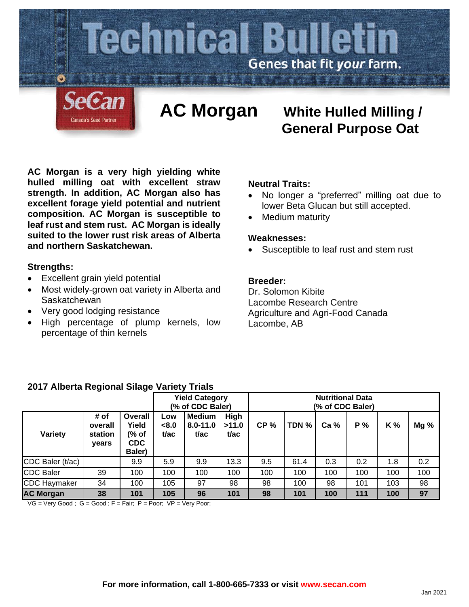

**AC Morgan is a very high yielding white hulled milling oat with excellent straw strength. In addition, AC Morgan also has excellent forage yield potential and nutrient composition. AC Morgan is susceptible to leaf rust and stem rust. AC Morgan is ideally** 

# **and northern Saskatchewan.**

## **Strengths:**

- Excellent grain yield potential
- Most widely-grown oat variety in Alberta and **Saskatchewan**

**suited to the lower rust risk areas of Alberta** 

- Very good lodging resistance
- High percentage of plump kernels, low percentage of thin kernels

## **Neutral Traits:**

• No longer a "preferred" milling oat due to lower Beta Glucan but still accepted.

 **General Purpose Oat**

Medium maturity

### **Weaknesses:**

• Susceptible to leaf rust and stem rust

## **Breeder:**

Dr. Solomon Kibite Lacombe Research Centre Agriculture and Agri-Food Canada Lacombe, AB

|  |  | 2017 Alberta Regional Silage Variety Trials |  |  |  |
|--|--|---------------------------------------------|--|--|--|
|--|--|---------------------------------------------|--|--|--|

|                     |                                     |                                                   |                      | <b>Yield Category</b><br>(% of CDC Baler) |                              | <b>Nutritional Data</b><br>(% of CDC Baler) |       |                 |     |     |      |  |
|---------------------|-------------------------------------|---------------------------------------------------|----------------------|-------------------------------------------|------------------------------|---------------------------------------------|-------|-----------------|-----|-----|------|--|
| Variety             | # of<br>overall<br>station<br>vears | Overall<br>Yield<br>(% of<br><b>CDC</b><br>Baler) | Low<br>< 8.0<br>t/ac | <b>Medium</b><br>$8.0 - 11.0$<br>t/ac     | <b>High</b><br>>11.0<br>t/ac | CP <sub>%</sub>                             | TDN % | Ca <sub>%</sub> | P%  | K % | Mg % |  |
| CDC Baler (t/ac)    |                                     | 9.9                                               | 5.9                  | 9.9                                       | 13.3                         | 9.5                                         | 61.4  | 0.3             | 0.2 | 1.8 | 0.2  |  |
| <b>CDC Baler</b>    | 39                                  | 100                                               | 100                  | 100                                       | 100                          | 100                                         | 100   | 100             | 100 | 100 | 100  |  |
| <b>CDC Haymaker</b> | 34                                  | 100                                               | 105                  | 97                                        | 98                           | 98                                          | 100   | 98              | 101 | 103 | 98   |  |
| <b>AC Morgan</b>    | 38                                  | 101                                               | 105                  | 96                                        | 101                          | 98                                          | 101   | 100             | 111 | 100 | 97   |  |

 $VG = Very Good$ ;  $G = Good$ ;  $F = Fair$ ;  $P = Poor$ ;  $VP = Very Poor$ ;